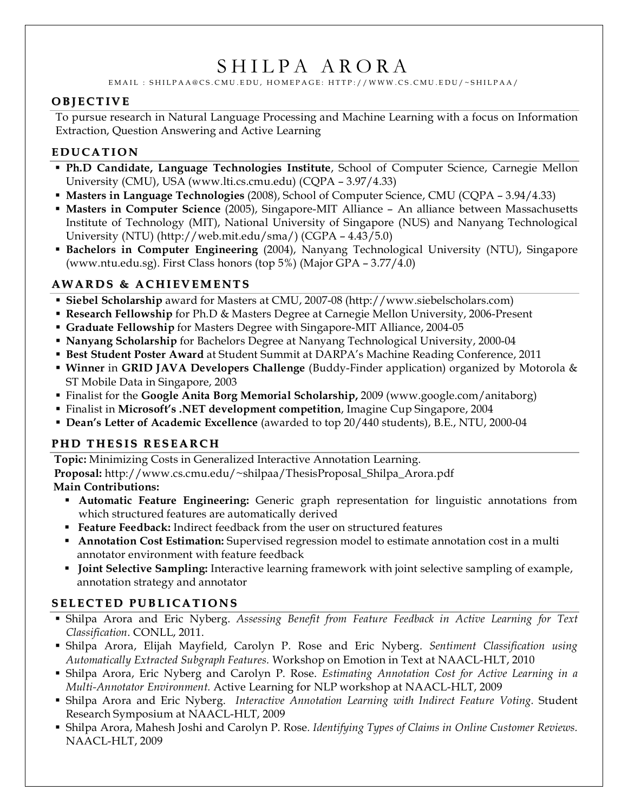# SHILPA ARORA

EMAIL : SHILPAA@CS.CMU.EDU, HOMEPAGE: HTTP://WWW.CS.CMU.EDU/~SHILPAA/

## **O BJ E C T IV E**

To pursue research in Natural Language Processing and Machine Learning with a focus on Information Extraction, Question Answering and Active Learning

## **E D U CA T I O N**

- **Ph.D Candidate, Language Technologies Institute**, School of Computer Science, Carnegie Mellon University (CMU), USA (www.lti.cs.cmu.edu) (CQPA – 3.97/4.33)
- **Masters in Language Technologies** (2008), School of Computer Science, CMU (CQPA 3.94/4.33)
- **Masters in Computer Science** (2005), Singapore-MIT Alliance An alliance between Massachusetts Institute of Technology (MIT), National University of Singapore (NUS) and Nanyang Technological University (NTU) (http://web.mit.edu/sma/) (CGPA – 4.43/5.0)
- **Bachelors in Computer Engineering** (2004), Nanyang Technological University (NTU), Singapore (www.ntu.edu.sg). First Class honors (top 5%) (Major GPA – 3.77/4.0)

## **AW A R D S & A C H I EV E M E N T S**

- **Siebel Scholarship** award for Masters at CMU, 2007-08 (http://www.siebelscholars.com)
- **Research Fellowship** for Ph.D & Masters Degree at Carnegie Mellon University, 2006-Present
- **Graduate Fellowship** for Masters Degree with Singapore-MIT Alliance, 2004-05
- **Nanyang Scholarship** for Bachelors Degree at Nanyang Technological University, 2000-04
- **Best Student Poster Award** at Student Summit at DARPA's Machine Reading Conference, 2011
- **Winner** in **GRID JAVA Developers Challenge** (Buddy-Finder application) organized by Motorola & ST Mobile Data in Singapore, 2003
- Finalist for the **Google Anita Borg Memorial Scholarship,** 2009 (www.google.com/anitaborg)
- Finalist in **Microsoft's .NET development competition**, Imagine Cup Singapore, 2004
- **Dean's Letter of Academic Excellence** (awarded to top 20/440 students), B.E., NTU, 2000-04

#### **P H D T H E S I S R E S E A R C H**

**Topic:** Minimizing Costs in Generalized Interactive Annotation Learning.

**Proposal:** http://www.cs.cmu.edu/~shilpaa/ThesisProposal\_Shilpa\_Arora.pdf **Main Contributions:**

- **Automatic Feature Engineering:** Generic graph representation for linguistic annotations from which structured features are automatically derived
- **Feature Feedback:** Indirect feedback from the user on structured features
- **Annotation Cost Estimation:** Supervised regression model to estimate annotation cost in a multi annotator environment with feature feedback
- **Joint Selective Sampling:** Interactive learning framework with joint selective sampling of example, annotation strategy and annotator

# **S E L E C T E D PU B L I CA T I O N S**

- Shilpa Arora and Eric Nyberg. *Assessing Benefit from Feature Feedback in Active Learning for Text Classification*. CONLL, 2011.
- Shilpa Arora, Elijah Mayfield, Carolyn P. Rose and Eric Nyberg. *Sentiment Classification using Automatically Extracted Subgraph Features.* Workshop on Emotion in Text at NAACL-HLT, 2010
- Shilpa Arora, Eric Nyberg and Carolyn P. Rose. *Estimating Annotation Cost for Active Learning in a Multi-Annotator Environment.* Active Learning for NLP workshop at NAACL-HLT, 2009
- Shilpa Arora and Eric Nyberg. *Interactive Annotation Learning with Indirect Feature Voting.* Student Research Symposium at NAACL-HLT, 2009
- Shilpa Arora, Mahesh Joshi and Carolyn P. Rose*. Identifying Types of Claims in Online Customer Reviews.* NAACL-HLT, 2009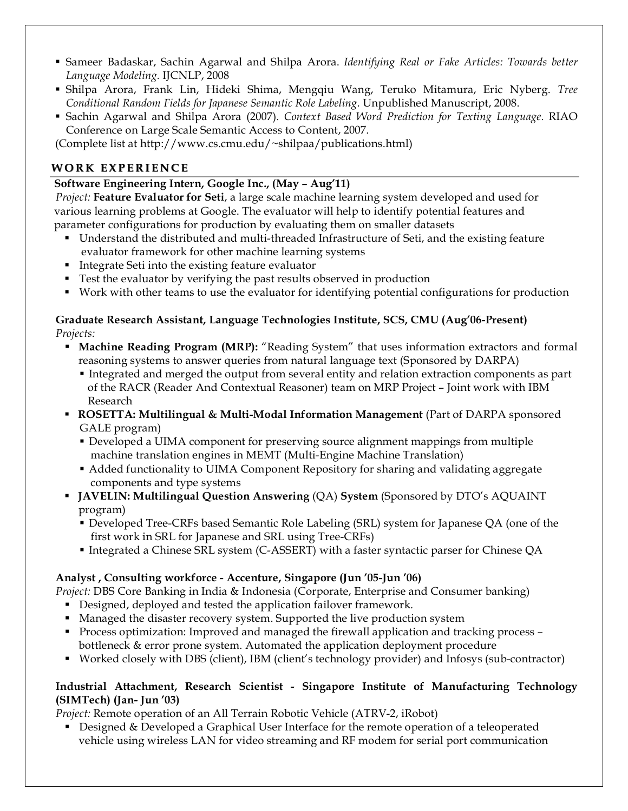- Sameer Badaskar, Sachin Agarwal and Shilpa Arora. *Identifying Real or Fake Articles: Towards better Language Modeling.* IJCNLP, 2008
- Shilpa Arora, Frank Lin, Hideki Shima, Mengqiu Wang, Teruko Mitamura, Eric Nyberg. *Tree Conditional Random Fields for Japanese Semantic Role Labeling.* Unpublished Manuscript, 2008.
- Sachin Agarwal and Shilpa Arora (2007). *Context Based Word Prediction for Texting Language*. RIAO Conference on Large Scale Semantic Access to Content, 2007.

(Complete list at http://www.cs.cmu.edu/~shilpaa/publications.html)

## **W O R K EX P E R I E N C E**

#### **Software Engineering Intern, Google Inc., (May – Aug'11)**

*Project:* **Feature Evaluator for Seti**, a large scale machine learning system developed and used for various learning problems at Google. The evaluator will help to identify potential features and parameter configurations for production by evaluating them on smaller datasets

- Understand the distributed and multi-threaded Infrastructure of Seti, and the existing feature evaluator framework for other machine learning systems
- Integrate Seti into the existing feature evaluator
- Test the evaluator by verifying the past results observed in production
- Work with other teams to use the evaluator for identifying potential configurations for production

#### **Graduate Research Assistant, Language Technologies Institute, SCS, CMU (Aug'06-Present)** *Projects:*

- **Machine Reading Program (MRP):** "Reading System" that uses information extractors and formal reasoning systems to answer queries from natural language text (Sponsored by DARPA)
	- Integrated and merged the output from several entity and relation extraction components as part of the RACR (Reader And Contextual Reasoner) team on MRP Project – Joint work with IBM Research
- **ROSETTA: Multilingual & Multi-Modal Information Management** (Part of DARPA sponsored GALE program)
	- Developed a UIMA component for preserving source alignment mappings from multiple machine translation engines in MEMT (Multi-Engine Machine Translation)
	- Added functionality to UIMA Component Repository for sharing and validating aggregate components and type systems
- **JAVELIN: Multilingual Question Answering** (QA) **System** (Sponsored by DTO's AQUAINT program)
	- Developed Tree-CRFs based Semantic Role Labeling (SRL) system for Japanese QA (one of the first work in SRL for Japanese and SRL using Tree-CRFs)
	- Integrated a Chinese SRL system (C-ASSERT) with a faster syntactic parser for Chinese QA

#### **Analyst , Consulting workforce - Accenture, Singapore (Jun '05-Jun '06)**

*Project:* DBS Core Banking in India & Indonesia (Corporate, Enterprise and Consumer banking)

- Designed, deployed and tested the application failover framework.
- Managed the disaster recovery system. Supported the live production system
- Process optimization: Improved and managed the firewall application and tracking process bottleneck & error prone system. Automated the application deployment procedure
- Worked closely with DBS (client), IBM (client's technology provider) and Infosys (sub-contractor)

#### **Industrial Attachment, Research Scientist - Singapore Institute of Manufacturing Technology (SIMTech) (Jan- Jun '03)**

*Project:* Remote operation of an All Terrain Robotic Vehicle (ATRV-2, iRobot)

**Designed & Developed a Graphical User Interface for the remote operation of a teleoperated** vehicle using wireless LAN for video streaming and RF modem for serial port communication